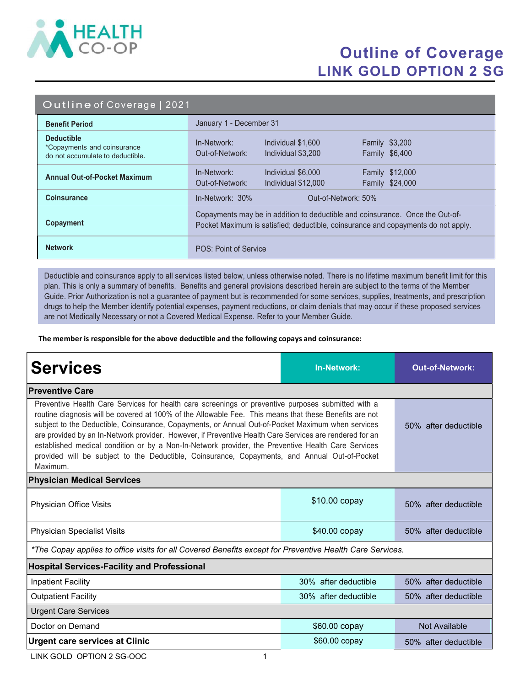

## Outline of Coverage LINK GOLD OPTION 2 SG

|  | Outline of Coverage   2021 |  |
|--|----------------------------|--|
|  |                            |  |

| <b>Benefit Period</b>                                                                | January 1 - December 31                                                                                                                                            |  |  |  |
|--------------------------------------------------------------------------------------|--------------------------------------------------------------------------------------------------------------------------------------------------------------------|--|--|--|
| <b>Deductible</b><br>*Copayments and coinsurance<br>do not accumulate to deductible. | <b>Family \$3,200</b><br>In-Network:<br>Individual \$1,600<br>Family \$6,400<br>Out-of-Network:<br>Individual \$3,200                                              |  |  |  |
| <b>Annual Out-of-Pocket Maximum</b>                                                  | Family \$12,000<br>In-Network:<br>Individual \$6,000<br>Out-of-Network:<br>Family \$24,000<br>Individual \$12,000                                                  |  |  |  |
| <b>Coinsurance</b>                                                                   | $In-Network: 30%$<br>Out-of-Network: 50%                                                                                                                           |  |  |  |
| Copayment                                                                            | Copayments may be in addition to deductible and coinsurance. Once the Out-of-<br>Pocket Maximum is satisfied; deductible, coinsurance and copayments do not apply. |  |  |  |
| <b>Network</b>                                                                       | POS: Point of Service                                                                                                                                              |  |  |  |

Deductible and coinsurance apply to all services listed below, unless otherwise noted. There is no lifetime maximum benefit limit for this plan. This is only a summary of benefits. Benefits and general provisions described herein are subject to the terms of the Member Guide. Prior Authorization is not a guarantee of payment but is recommended for some services, supplies, treatments, and prescription drugs to help the Member identify potential expenses, payment reductions, or claim denials that may occur if these proposed services are not Medically Necessary or not a Covered Medical Expense. Refer to your Member Guide.

The member is responsible for the above deductible and the following copays and coinsurance:

| <b>Services</b>                                                                                                                                                                                                                                                                                                                                                                                                                                                                                                                                                                                                                                 | <b>In-Network:</b>   | <b>Out-of-Network:</b> |  |  |  |
|-------------------------------------------------------------------------------------------------------------------------------------------------------------------------------------------------------------------------------------------------------------------------------------------------------------------------------------------------------------------------------------------------------------------------------------------------------------------------------------------------------------------------------------------------------------------------------------------------------------------------------------------------|----------------------|------------------------|--|--|--|
| <b>Preventive Care</b>                                                                                                                                                                                                                                                                                                                                                                                                                                                                                                                                                                                                                          |                      |                        |  |  |  |
| Preventive Health Care Services for health care screenings or preventive purposes submitted with a<br>routine diagnosis will be covered at 100% of the Allowable Fee. This means that these Benefits are not<br>subject to the Deductible, Coinsurance, Copayments, or Annual Out-of-Pocket Maximum when services<br>are provided by an In-Network provider. However, if Preventive Health Care Services are rendered for an<br>established medical condition or by a Non-In-Network provider, the Preventive Health Care Services<br>provided will be subject to the Deductible, Coinsurance, Copayments, and Annual Out-of-Pocket<br>Maximum. | 50% after deductible |                        |  |  |  |
| <b>Physician Medical Services</b>                                                                                                                                                                                                                                                                                                                                                                                                                                                                                                                                                                                                               |                      |                        |  |  |  |
| Physician Office Visits                                                                                                                                                                                                                                                                                                                                                                                                                                                                                                                                                                                                                         | \$10.00 copay        | 50% after deductible   |  |  |  |
| <b>Physician Specialist Visits</b>                                                                                                                                                                                                                                                                                                                                                                                                                                                                                                                                                                                                              | \$40.00 copay        | 50% after deductible   |  |  |  |
| *The Copay applies to office visits for all Covered Benefits except for Preventive Health Care Services.                                                                                                                                                                                                                                                                                                                                                                                                                                                                                                                                        |                      |                        |  |  |  |
| <b>Hospital Services-Facility and Professional</b>                                                                                                                                                                                                                                                                                                                                                                                                                                                                                                                                                                                              |                      |                        |  |  |  |
| <b>Inpatient Facility</b>                                                                                                                                                                                                                                                                                                                                                                                                                                                                                                                                                                                                                       | 30% after deductible | 50% after deductible   |  |  |  |
| <b>Outpatient Facility</b>                                                                                                                                                                                                                                                                                                                                                                                                                                                                                                                                                                                                                      | 30% after deductible | 50% after deductible   |  |  |  |
| <b>Urgent Care Services</b>                                                                                                                                                                                                                                                                                                                                                                                                                                                                                                                                                                                                                     |                      |                        |  |  |  |
| Doctor on Demand                                                                                                                                                                                                                                                                                                                                                                                                                                                                                                                                                                                                                                | \$60.00 copay        | Not Available          |  |  |  |
| <b>Urgent care services at Clinic</b>                                                                                                                                                                                                                                                                                                                                                                                                                                                                                                                                                                                                           | \$60.00 copay        | 50% after deductible   |  |  |  |

LINK GOLD OPTION 2 SG-OOC 1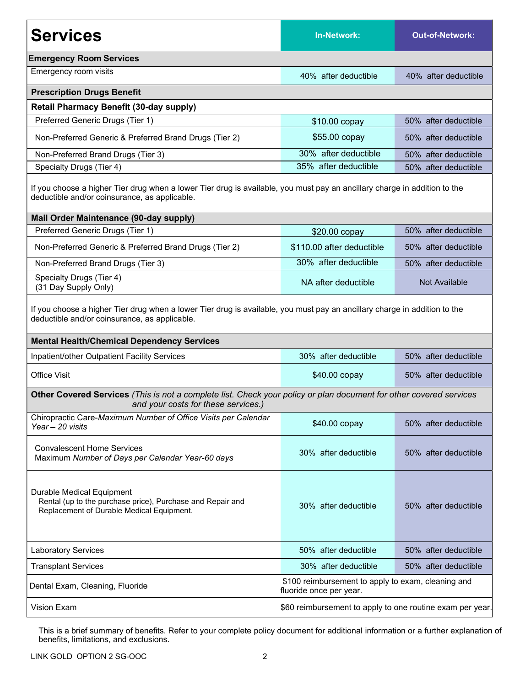| <b>Services</b>                                                                                                                                                            | <b>In-Network:</b>        | <b>Out-of-Network:</b> |  |  |  |
|----------------------------------------------------------------------------------------------------------------------------------------------------------------------------|---------------------------|------------------------|--|--|--|
| <b>Emergency Room Services</b>                                                                                                                                             |                           |                        |  |  |  |
| Emergency room visits                                                                                                                                                      | 40% after deductible      | 40% after deductible   |  |  |  |
| <b>Prescription Drugs Benefit</b>                                                                                                                                          |                           |                        |  |  |  |
| <b>Retail Pharmacy Benefit (30-day supply)</b>                                                                                                                             |                           |                        |  |  |  |
| Preferred Generic Drugs (Tier 1)                                                                                                                                           | \$10.00 copay             | 50% after deductible   |  |  |  |
| Non-Preferred Generic & Preferred Brand Drugs (Tier 2)                                                                                                                     | \$55.00 copay             | 50% after deductible   |  |  |  |
| Non-Preferred Brand Drugs (Tier 3)                                                                                                                                         | 30% after deductible      | 50% after deductible   |  |  |  |
| Specialty Drugs (Tier 4)                                                                                                                                                   | 35% after deductible      | 50% after deductible   |  |  |  |
| If you choose a higher Tier drug when a lower Tier drug is available, you must pay an ancillary charge in addition to the<br>deductible and/or coinsurance, as applicable. |                           |                        |  |  |  |
| Mail Order Maintenance (90-day supply)                                                                                                                                     |                           |                        |  |  |  |
| Preferred Generic Drugs (Tier 1)                                                                                                                                           | \$20.00 copay             | 50% after deductible   |  |  |  |
| Non-Preferred Generic & Preferred Brand Drugs (Tier 2)                                                                                                                     | \$110.00 after deductible | 50% after deductible   |  |  |  |
| Non-Preferred Brand Drugs (Tier 3)                                                                                                                                         | 30% after deductible      | 50% after deductible   |  |  |  |
| Specialty Drugs (Tier 4)<br>(31 Day Supply Only)                                                                                                                           | NA after deductible       | Not Available          |  |  |  |
| If you choose a higher Tier drug when a lower Tier drug is available, you must pay an ancillary charge in addition to the<br>deductible and/or coinsurance, as applicable. |                           |                        |  |  |  |
| <b>Mental Health/Chemical Dependency Services</b>                                                                                                                          |                           |                        |  |  |  |
| Inpatient/other Outpatient Facility Services                                                                                                                               | 30% after deductible      | 50% after deductible   |  |  |  |
| <b>Office Visit</b>                                                                                                                                                        | \$40.00 copay             | 50% after deductible   |  |  |  |
| Other Covered Services (This is not a complete list. Check your policy or plan document for other covered services<br>and your costs for these services.)                  |                           |                        |  |  |  |
| Chiropractic Care-Maximum Number of Office Visits per Calendar<br>Year - 20 visits                                                                                         | \$40.00 copay             | 50% after deductible   |  |  |  |
| <b>Convalescent Home Services</b><br>Maximum Number of Days per Calendar Year-60 days                                                                                      | 30% after deductible      | 50% after deductible   |  |  |  |
| Durable Medical Equipment<br>Rental (up to the purchase price), Purchase and Repair and<br>Replacement of Durable Medical Equipment.                                       | 30% after deductible      | 50% after deductible   |  |  |  |
| <b>Laboratory Services</b>                                                                                                                                                 | 50% after deductible      | 50% after deductible   |  |  |  |
| <b>Transplant Services</b>                                                                                                                                                 | 30% after deductible      | 50% after deductible   |  |  |  |
| \$100 reimbursement to apply to exam, cleaning and<br>Dental Exam, Cleaning, Fluoride<br>fluoride once per year.                                                           |                           |                        |  |  |  |
| Vision Exam<br>\$60 reimbursement to apply to one routine exam per year.                                                                                                   |                           |                        |  |  |  |

This is a brief summary of benefits. Refer to your complete policy document for additional information or a further explanation of benefits, limitations, and exclusions.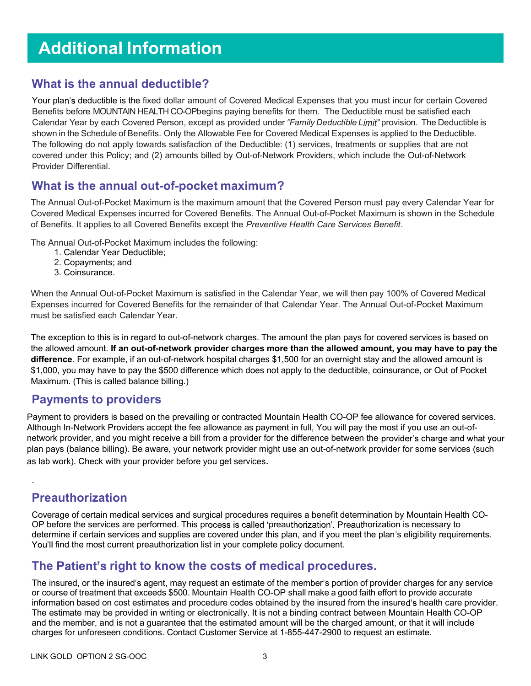# Additional Information

#### What is the annual deductible?

Your plan's deductible is the fixed dollar amount of Covered Medical Expenses that you must incur for certain Covered Benefits before MOUNTAIN HEALTH CO-OPbegins paying benefits for them. The Deductible must be satisfied each Calendar Year by each Covered Person, except as provided under "Family Deductible Limit" provision. The Deductible is shown in the Schedule of Benefits. Only the Allowable Fee for Covered Medical Expenses is applied to the Deductible. The following do not apply towards satisfaction of the Deductible: (1) services, treatments or supplies that are not covered under this Policy; and (2) amounts billed by Out-of-Network Providers, which include the Out-of-Network Provider Differential.

#### What is the annual out-of-pocket maximum?

The Annual Out-of-Pocket Maximum is the maximum amount that the Covered Person must pay every Calendar Year for Covered Medical Expenses incurred for Covered Benefits. The Annual Out-of-Pocket Maximum is shown in the Schedule of Benefits. It applies to all Covered Benefits except the Preventive Health Care Services Benefit.

The Annual Out-of-Pocket Maximum includes the following:

- 1. Calendar Year Deductible;
- 2. Copayments; and
- 3. Coinsurance.

When the Annual Out-of-Pocket Maximum is satisfied in the Calendar Year, we will then pay 100% of Covered Medical Expenses incurred for Covered Benefits for the remainder of that Calendar Year. The Annual Out-of-Pocket Maximum must be satisfied each Calendar Year.

The exception to this is in regard to out-of-network charges. The amount the plan pays for covered services is based on the allowed amount. If an out-of-network provider charges more than the allowed amount, you may have to pay the difference. For example, if an out-of-network hospital charges \$1,500 for an overnight stay and the allowed amount is \$1,000, you may have to pay the \$500 difference which does not apply to the deductible, coinsurance, or Out of Pocket Maximum. (This is called balance billing.)

#### Payments to providers

Payment to providers is based on the prevailing or contracted Mountain Health CO-OP fee allowance for covered services. Although In-Network Providers accept the fee allowance as payment in full, You will pay the most if you use an out-ofnetwork provider, and you might receive a bill from a provider for the difference between the provider's charge and what your plan pays (balance billing). Be aware, your network provider might use an out-of-network provider for some services (such as lab work). Check with your provider before you get services.

### Preauthorization

.

Coverage of certain medical services and surgical procedures requires a benefit determination by Mountain Health CO-OP before the services are performed. This process is called 'preauthorization'. Preauthorization is necessary to determine if certain services and supplies are covered under this plan, and if you meet the plan's eligibility requirements. You'll find the most current preauthorization list in your complete policy document.

### The Patient's right to know the costs of medical procedures.

The insured, or the insured's agent, may request an estimate of the member's portion of provider charges for any service or course of treatment that exceeds \$500. Mountain Health CO-OP shall make a good faith effort to provide accurate information based on cost estimates and procedure codes obtained by the insured from the insured's health care provider. The estimate may be provided in writing or electronically. It is not a binding contract between Mountain Health CO-OP and the member, and is not a guarantee that the estimated amount will be the charged amount, or that it will include charges for unforeseen conditions. Contact Customer Service at 1-855-447-2900 to request an estimate.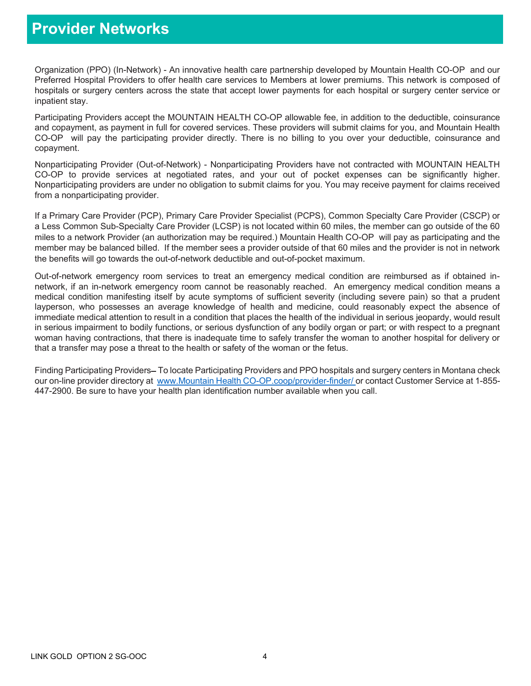### Provider Networks

Organization (PPO) (In-Network) - An innovative health care partnership developed by Mountain Health CO-OP and our Preferred Hospital Providers to offer health care services to Members at lower premiums. This network is composed of hospitals or surgery centers across the state that accept lower payments for each hospital or surgery center service or inpatient stay.

Participating Providers accept the MOUNTAIN HEALTH CO-OP allowable fee, in addition to the deductible, coinsurance and copayment, as payment in full for covered services. These providers will submit claims for you, and Mountain Health CO-OP will pay the participating provider directly. There is no billing to you over your deductible, coinsurance and copayment.

Nonparticipating Provider (Out-of-Network) - Nonparticipating Providers have not contracted with MOUNTAIN HEALTH CO-OP to provide services at negotiated rates, and your out of pocket expenses can be significantly higher. Nonparticipating providers are under no obligation to submit claims for you. You may receive payment for claims received from a nonparticipating provider.

If a Primary Care Provider (PCP), Primary Care Provider Specialist (PCPS), Common Specialty Care Provider (CSCP) or a Less Common Sub-Specialty Care Provider (LCSP) is not located within 60 miles, the member can go outside of the 60 miles to a network Provider (an authorization may be required.) Mountain Health CO-OP will pay as participating and the member may be balanced billed. If the member sees a provider outside of that 60 miles and the provider is not in network the benefits will go towards the out-of-network deductible and out-of-pocket maximum.

Out-of-network emergency room services to treat an emergency medical condition are reimbursed as if obtained innetwork, if an in-network emergency room cannot be reasonably reached. An emergency medical condition means a medical condition manifesting itself by acute symptoms of sufficient severity (including severe pain) so that a prudent layperson, who possesses an average knowledge of health and medicine, could reasonably expect the absence of immediate medical attention to result in a condition that places the health of the individual in serious jeopardy, would result in serious impairment to bodily functions, or serious dysfunction of any bodily organ or part; or with respect to a pregnant woman having contractions, that there is inadequate time to safely transfer the woman to another hospital for delivery or that a transfer may pose a threat to the health or safety of the woman or the fetus.

Finding Participating Providers–To locate Participating Providers and PPO hospitals and surgery centers in Montana check our on-line provider directory at www.Mountain Health CO-OP.coop/provider-finder/ or contact Customer Service at 1-855-447-2900. Be sure to have your health plan identification number available when you call.